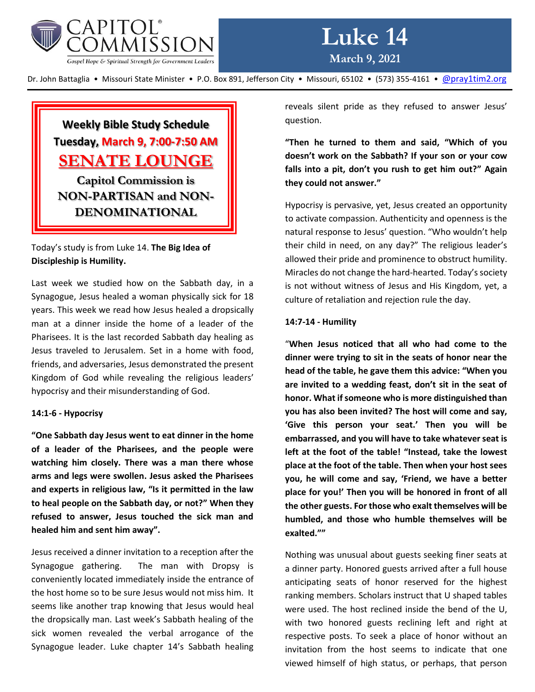

## **Weekly Bible Study Schedule Tuesday, March 9, 7:00-7:50 AM SENATE LOUNGE Capitol Commission is NON-PARTISAN and NON-DENOMINATIONAL**

#### Today's study is from Luke 14. **The Big Idea of Discipleship is Humility.**

Last week we studied how on the Sabbath day, in a Synagogue, Jesus healed a woman physically sick for 18 years. This week we read how Jesus healed a dropsically man at a dinner inside the home of a leader of the Pharisees. It is the last recorded Sabbath day healing as Jesus traveled to Jerusalem. Set in a home with food, friends, and adversaries, Jesus demonstrated the present Kingdom of God while revealing the religious leaders' hypocrisy and their misunderstanding of God.

#### **14:1-6 - Hypocrisy**

**"One Sabbath day Jesus went to eat dinner in the home of a leader of the Pharisees, and the people were watching him closely. There was a man there whose arms and legs were swollen. Jesus asked the Pharisees and experts in religious law, "Is it permitted in the law to heal people on the Sabbath day, or not?" When they refused to answer, Jesus touched the sick man and healed him and sent him away".**

Jesus received a dinner invitation to a reception after the Synagogue gathering. The man with Dropsy is conveniently located immediately inside the entrance of the host home so to be sure Jesus would not miss him. It seems like another trap knowing that Jesus would heal the dropsically man. Last week's Sabbath healing of the sick women revealed the verbal arrogance of the Synagogue leader. Luke chapter 14's Sabbath healing

reveals silent pride as they refused to answer Jesus' question.

**"Then he turned to them and said, "Which of you doesn't work on the Sabbath? If your son or your cow falls into a pit, don't you rush to get him out?" Again they could not answer."**

Hypocrisy is pervasive, yet, Jesus created an opportunity to activate compassion. Authenticity and openness is the natural response to Jesus' question. "Who wouldn't help their child in need, on any day?" The religious leader's allowed their pride and prominence to obstruct humility. Miracles do not change the hard-hearted. Today's society is not without witness of Jesus and His Kingdom, yet, a culture of retaliation and rejection rule the day.

#### **14:7-14 - Humility**

"**When Jesus noticed that all who had come to the dinner were trying to sit in the seats of honor near the head of the table, he gave them this advice: "When you are invited to a wedding feast, don't sit in the seat of honor. What if someone who is more distinguished than you has also been invited? The host will come and say, 'Give this person your seat.' Then you will be embarrassed, and you will have to take whatever seat is left at the foot of the table! "Instead, take the lowest place at the foot of the table. Then when your host sees you, he will come and say, 'Friend, we have a better place for you!' Then you will be honored in front of all the other guests. For those who exalt themselves will be humbled, and those who humble themselves will be exalted.""** 

Nothing was unusual about guests seeking finer seats at a dinner party. Honored guests arrived after a full house anticipating seats of honor reserved for the highest ranking members. Scholars instruct that U shaped tables were used. The host reclined inside the bend of the U, with two honored guests reclining left and right at respective posts. To seek a place of honor without an invitation from the host seems to indicate that one viewed himself of high status, or perhaps, that person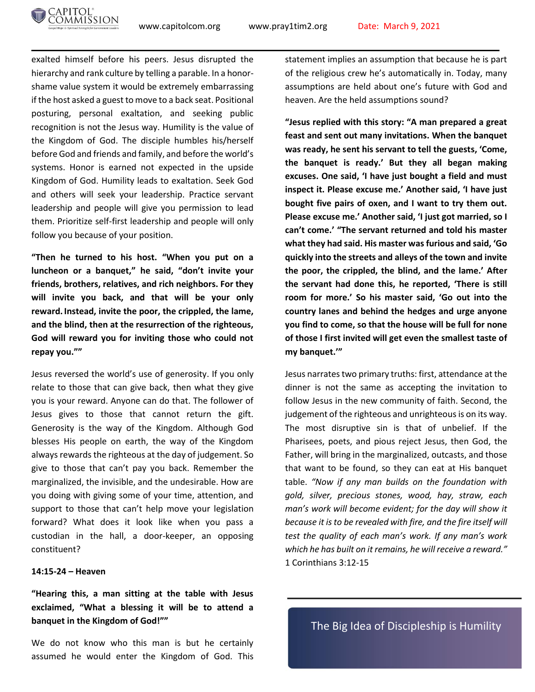

exalted himself before his peers. Jesus disrupted the hierarchy and rank culture by telling a parable. In a honorshame value system it would be extremely embarrassing if the host asked a guest to move to a back seat. Positional posturing, personal exaltation, and seeking public recognition is not the Jesus way. Humility is the value of the Kingdom of God. The disciple humbles his/herself before God and friends and family, and before the world's systems. Honor is earned not expected in the upside Kingdom of God. Humility leads to exaltation. Seek God and others will seek your leadership. Practice servant leadership and people will give you permission to lead them. Prioritize self-first leadership and people will only follow you because of your position.

**"Then he turned to his host. "When you put on a luncheon or a banquet," he said, "don't invite your friends, brothers, relatives, and rich neighbors. For they will invite you back, and that will be your only reward. Instead, invite the poor, the crippled, the lame, and the blind, then at the resurrection of the righteous, God will reward you for inviting those who could not repay you.""** 

Jesus reversed the world's use of generosity. If you only relate to those that can give back, then what they give you is your reward. Anyone can do that. The follower of Jesus gives to those that cannot return the gift. Generosity is the way of the Kingdom. Although God blesses His people on earth, the way of the Kingdom always rewards the righteous at the day of judgement. So give to those that can't pay you back. Remember the marginalized, the invisible, and the undesirable. How are you doing with giving some of your time, attention, and support to those that can't help move your legislation forward? What does it look like when you pass a custodian in the hall, a door-keeper, an opposing constituent?

#### **14:15-24 – Heaven**

**"Hearing this, a man sitting at the table with Jesus exclaimed, "What a blessing it will be to attend a banquet in the Kingdom of God!""**

We do not know who this man is but he certainly assumed he would enter the Kingdom of God. This statement implies an assumption that because he is part of the religious crew he's automatically in. Today, many assumptions are held about one's future with God and heaven. Are the held assumptions sound?

**"Jesus replied with this story: "A man prepared a great feast and sent out many invitations. When the banquet was ready, he sent his servant to tell the guests, 'Come, the banquet is ready.' But they all began making excuses. One said, 'I have just bought a field and must inspect it. Please excuse me.' Another said, 'I have just bought five pairs of oxen, and I want to try them out. Please excuse me.' Another said, 'I just got married, so I can't come.' "The servant returned and told his master what they had said. His master was furious and said, 'Go quickly into the streets and alleys of the town and invite the poor, the crippled, the blind, and the lame.' After the servant had done this, he reported, 'There is still room for more.' So his master said, 'Go out into the country lanes and behind the hedges and urge anyone you find to come, so that the house will be full for none of those I first invited will get even the smallest taste of my banquet.'"**

Jesus narrates two primary truths: first, attendance at the dinner is not the same as accepting the invitation to follow Jesus in the new community of faith. Second, the judgement of the righteous and unrighteous is on its way. The most disruptive sin is that of unbelief. If the Pharisees, poets, and pious reject Jesus, then God, the Father, will bring in the marginalized, outcasts, and those that want to be found, so they can eat at His banquet table. *"Now if any man builds on the foundation with gold, silver, precious stones, wood, hay, straw, each man's work will become evident; for the day will show it because it is to be revealed with fire, and the fire itself will test the quality of each man's work. If any man's work which he has built on it remains, he will receive a reward."*  1 Corinthians 3:12-15

### The Big Idea of Discipleship is Humility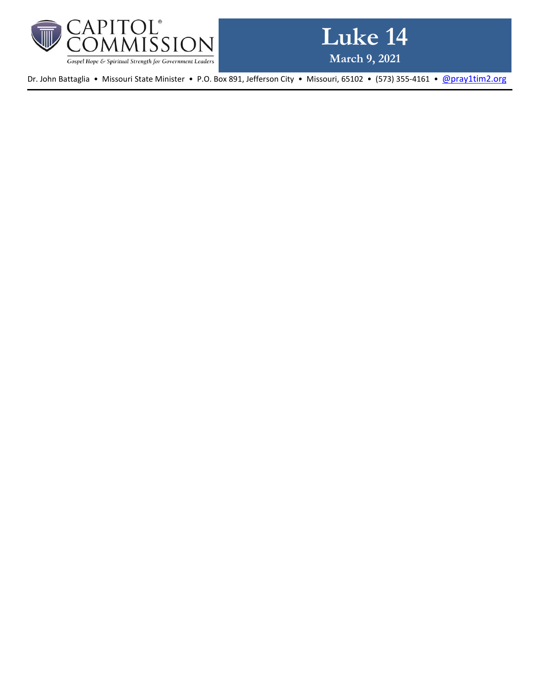

Gospel Hope & Spiritual Strength for Government Leaders

# **Luke 14**

**March 9, 2021**

Dr. John Battaglia • Missouri State Minister • P.O. Box 891, Jefferson City • Missouri, 65102 • (573) 355-4161 • @pray1tim2.org